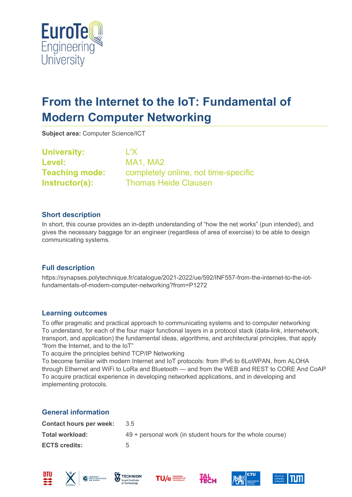

# **From the Internet to the IoT: Fundamental of Modern Computer Networking**

**Subject area:** Computer Science/ICT

**University:** L'X **Level:** MA1, MA2

**Teaching mode:** completely online, not time-specific **Instructor(s):** Thomas Heide Clausen

### **Short description**

In short, this course provides an in-depth understanding of "how the net works" (pun intended), and gives the necessary baggage for an engineer (regardless of area of exercise) to be able to design communicating systems.

## **Full description**

https://synapses.polytechnique.fr/catalogue/2021-2022/ue/592/INF557-from-the-internet-to-the-iotfundamentals-of-modern-computer-networking?from=P1272

## **Learning outcomes**

To offer pragmatic and practical approach to communicating systems and to computer networking To understand, for each of the four major functional layers in a protocol stack (data-link, internetwork, transport, and application) the fundamental ideas, algorithms, and architectural principles, that apply "from the Internet, and to the IoT"

To acquire the principles behind TCP/IP Networking

To become familiar with modern Internet and IoT protocols: from IPv6 to 6LoWPAN, from ALOHA through Ethernet and WiFi to LoRa and Bluetooth — and from the WEB and REST to CORE And CoAP To acquire practical experience in developing networked applications, and in developing and implementing protocols.

#### **General information**

| <b>Contact hours per week:</b> | 35                                                         |
|--------------------------------|------------------------------------------------------------|
| Total workload:                | 49 + personal work (in student hours for the whole course) |
| <b>ECTS credits:</b>           |                                                            |











**Тесн** 

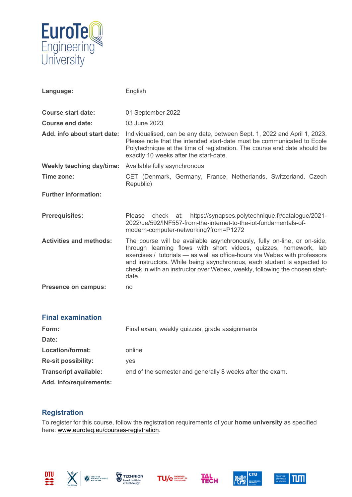

| Language:                        | English                                                                                                                                                                                                                                                                                                                                                                                    |
|----------------------------------|--------------------------------------------------------------------------------------------------------------------------------------------------------------------------------------------------------------------------------------------------------------------------------------------------------------------------------------------------------------------------------------------|
| <b>Course start date:</b>        | 01 September 2022                                                                                                                                                                                                                                                                                                                                                                          |
| Course end date:                 | 03 June 2023                                                                                                                                                                                                                                                                                                                                                                               |
| Add. info about start date:      | Individualised, can be any date, between Sept. 1, 2022 and April 1, 2023.<br>Please note that the intended start-date must be communicated to Ecole<br>Polytechnique at the time of registration. The course end date should be<br>exactly 10 weeks after the start-date.                                                                                                                  |
| <b>Weekly teaching day/time:</b> | Available fully asynchronous                                                                                                                                                                                                                                                                                                                                                               |
| Time zone:                       | CET (Denmark, Germany, France, Netherlands, Switzerland, Czech<br>Republic)                                                                                                                                                                                                                                                                                                                |
| <b>Further information:</b>      |                                                                                                                                                                                                                                                                                                                                                                                            |
| <b>Prerequisites:</b>            | check at: https://synapses.polytechnique.fr/catalogue/2021-<br>Please<br>2022/ue/592/INF557-from-the-internet-to-the-iot-fundamentals-of-<br>modern-computer-networking?from=P1272                                                                                                                                                                                                         |
| <b>Activities and methods:</b>   | The course will be available asynchronously, fully on-line, or on-side,<br>through learning flows with short videos, quizzes, homework, lab<br>exercises / tutorials - as well as office-hours via Webex with professors<br>and instructors. While being asynchronous, each student is expected to<br>check in with an instructor over Webex, weekly, following the chosen start-<br>date. |
| <b>Presence on campus:</b>       | no                                                                                                                                                                                                                                                                                                                                                                                         |

| <b>Final examination</b>     |                                                           |
|------------------------------|-----------------------------------------------------------|
| Form:                        | Final exam, weekly quizzes, grade assignments             |
| Date:                        |                                                           |
| Location/format:             | online                                                    |
| <b>Re-sit possibility:</b>   | yes                                                       |
| <b>Transcript available:</b> | end of the semester and generally 8 weeks after the exam. |
| Add. info/requirements:      |                                                           |

#### **Registration**

To register for this course, follow the registration requirements of your **home university** as specified here: [www.euroteq.eu/courses-registration.](http://www.euroteq.eu/courses-registration)